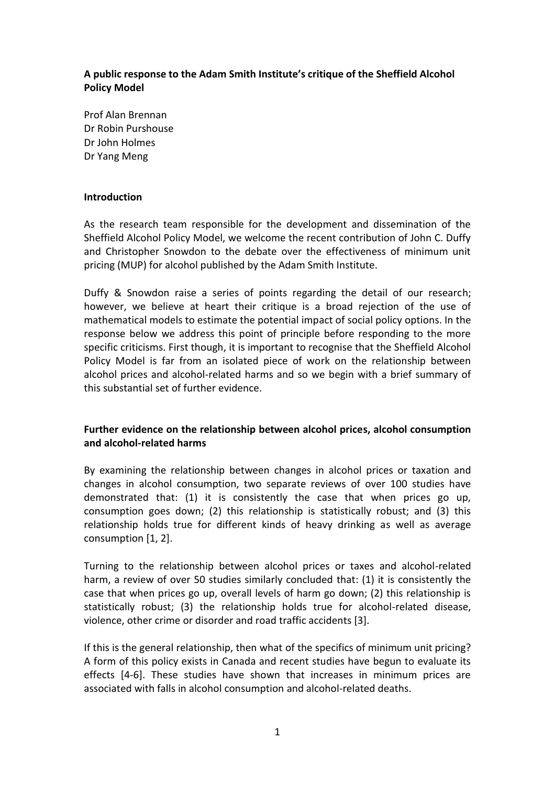## **A public response to the Adam Smith Institute's critique of the Sheffield Alcohol Policy Model**

Prof Alan Brennan Dr Robin Purshouse Dr John Holmes Dr Yang Meng

### **Introduction**

As the research team responsible for the development and dissemination of the Sheffield Alcohol Policy Model, we welcome the recent contribution of John C. Duffy and Christopher Snowdon to the debate over the effectiveness of minimum unit pricing (MUP) for alcohol published by the Adam Smith Institute.

Duffy & Snowdon raise a series of points regarding the detail of our research; however, we believe at heart their critique is a broad rejection of the use of mathematical models to estimate the potential impact of social policy options. In the response below we address this point of principle before responding to the more specific criticisms. First though, it is important to recognise that the Sheffield Alcohol Policy Model is far from an isolated piece of work on the relationship between alcohol prices and alcohol-related harms and so we begin with a brief summary of this substantial set of further evidence.

# **Further evidence on the relationship between alcohol prices, alcohol consumption and alcohol-related harms**

By examining the relationship between changes in alcohol prices or taxation and changes in alcohol consumption, two separate reviews of over 100 studies have demonstrated that: (1) it is consistently the case that when prices go up, consumption goes down; (2) this relationship is statistically robust; and (3) this relationship holds true for different kinds of heavy drinking as well as average consumption [1, 2].

Turning to the relationship between alcohol prices or taxes and alcohol-related harm, a review of over 50 studies similarly concluded that: (1) it is consistently the case that when prices go up, overall levels of harm go down; (2) this relationship is statistically robust; (3) the relationship holds true for alcohol-related disease, violence, other crime or disorder and road traffic accidents [3].

If this is the general relationship, then what of the specifics of minimum unit pricing? A form of this policy exists in Canada and recent studies have begun to evaluate its effects [4-6]. These studies have shown that increases in minimum prices are associated with falls in alcohol consumption and alcohol-related deaths.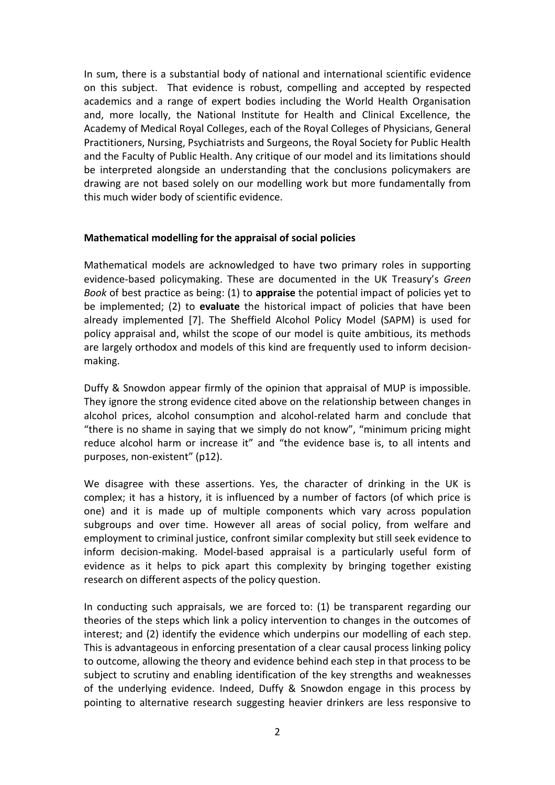In sum, there is a substantial body of national and international scientific evidence on this subject. That evidence is robust, compelling and accepted by respected academics and a range of expert bodies including the World Health Organisation and, more locally, the National Institute for Health and Clinical Excellence, the Academy of Medical Royal Colleges, each of the Royal Colleges of Physicians, General Practitioners, Nursing, Psychiatrists and Surgeons, the Royal Society for Public Health and the Faculty of Public Health. Any critique of our model and its limitations should be interpreted alongside an understanding that the conclusions policymakers are drawing are not based solely on our modelling work but more fundamentally from this much wider body of scientific evidence.

#### **Mathematical modelling for the appraisal of social policies**

Mathematical models are acknowledged to have two primary roles in supporting evidence-based policymaking. These are documented in the UK Treasury's *Green Book* of best practice as being: (1) to **appraise** the potential impact of policies yet to be implemented; (2) to **evaluate** the historical impact of policies that have been already implemented [7]. The Sheffield Alcohol Policy Model (SAPM) is used for policy appraisal and, whilst the scope of our model is quite ambitious, its methods are largely orthodox and models of this kind are frequently used to inform decisionmaking.

Duffy & Snowdon appear firmly of the opinion that appraisal of MUP is impossible. They ignore the strong evidence cited above on the relationship between changes in alcohol prices, alcohol consumption and alcohol-related harm and conclude that "there is no shame in saying that we simply do not know", "minimum pricing might reduce alcohol harm or increase it" and "the evidence base is, to all intents and purposes, non-existent" (p12).

We disagree with these assertions. Yes, the character of drinking in the UK is complex; it has a history, it is influenced by a number of factors (of which price is one) and it is made up of multiple components which vary across population subgroups and over time. However all areas of social policy, from welfare and employment to criminal justice, confront similar complexity but still seek evidence to inform decision-making. Model-based appraisal is a particularly useful form of evidence as it helps to pick apart this complexity by bringing together existing research on different aspects of the policy question.

In conducting such appraisals, we are forced to: (1) be transparent regarding our theories of the steps which link a policy intervention to changes in the outcomes of interest; and (2) identify the evidence which underpins our modelling of each step. This is advantageous in enforcing presentation of a clear causal process linking policy to outcome, allowing the theory and evidence behind each step in that process to be subject to scrutiny and enabling identification of the key strengths and weaknesses of the underlying evidence. Indeed, Duffy & Snowdon engage in this process by pointing to alternative research suggesting heavier drinkers are less responsive to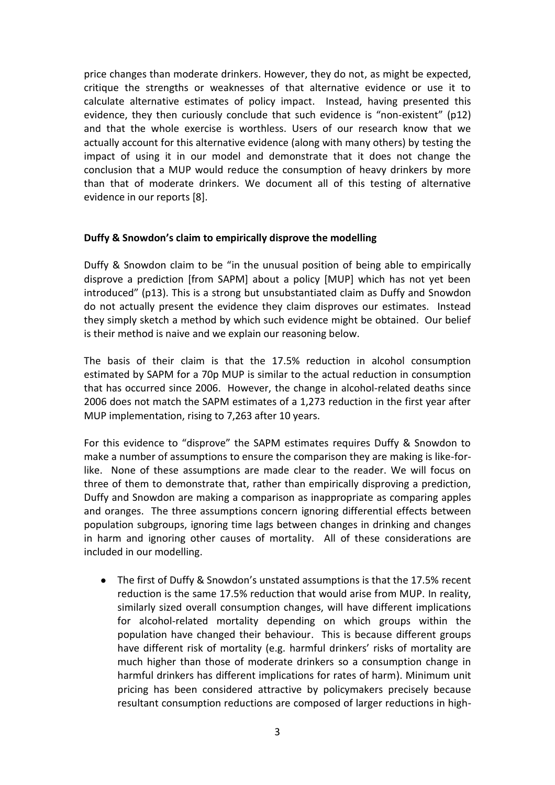price changes than moderate drinkers. However, they do not, as might be expected, critique the strengths or weaknesses of that alternative evidence or use it to calculate alternative estimates of policy impact. Instead, having presented this evidence, they then curiously conclude that such evidence is "non-existent" (p12) and that the whole exercise is worthless. Users of our research know that we actually account for this alternative evidence (along with many others) by testing the impact of using it in our model and demonstrate that it does not change the conclusion that a MUP would reduce the consumption of heavy drinkers by more than that of moderate drinkers. We document all of this testing of alternative evidence in our reports [8].

## **Duffy & Snowdon's claim to empirically disprove the modelling**

Duffy & Snowdon claim to be "in the unusual position of being able to empirically disprove a prediction [from SAPM] about a policy [MUP] which has not yet been introduced" (p13). This is a strong but unsubstantiated claim as Duffy and Snowdon do not actually present the evidence they claim disproves our estimates. Instead they simply sketch a method by which such evidence might be obtained. Our belief is their method is naive and we explain our reasoning below.

The basis of their claim is that the 17.5% reduction in alcohol consumption estimated by SAPM for a 70p MUP is similar to the actual reduction in consumption that has occurred since 2006. However, the change in alcohol-related deaths since 2006 does not match the SAPM estimates of a 1,273 reduction in the first year after MUP implementation, rising to 7,263 after 10 years.

For this evidence to "disprove" the SAPM estimates requires Duffy & Snowdon to make a number of assumptions to ensure the comparison they are making is like-forlike. None of these assumptions are made clear to the reader. We will focus on three of them to demonstrate that, rather than empirically disproving a prediction, Duffy and Snowdon are making a comparison as inappropriate as comparing apples and oranges. The three assumptions concern ignoring differential effects between population subgroups, ignoring time lags between changes in drinking and changes in harm and ignoring other causes of mortality. All of these considerations are included in our modelling.

The first of Duffy & Snowdon's unstated assumptions is that the 17.5% recent reduction is the same 17.5% reduction that would arise from MUP. In reality, similarly sized overall consumption changes, will have different implications for alcohol-related mortality depending on which groups within the population have changed their behaviour. This is because different groups have different risk of mortality (e.g. harmful drinkers' risks of mortality are much higher than those of moderate drinkers so a consumption change in harmful drinkers has different implications for rates of harm). Minimum unit pricing has been considered attractive by policymakers precisely because resultant consumption reductions are composed of larger reductions in high-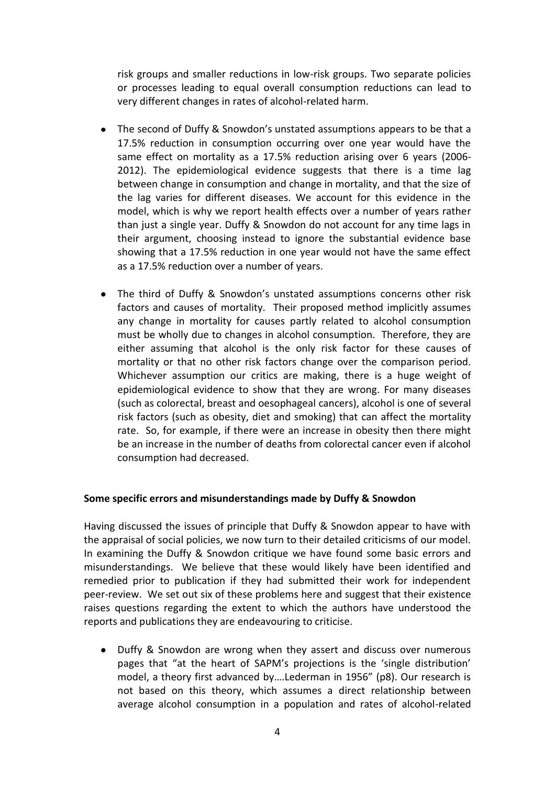risk groups and smaller reductions in low-risk groups. Two separate policies or processes leading to equal overall consumption reductions can lead to very different changes in rates of alcohol-related harm.

- The second of Duffy & Snowdon's unstated assumptions appears to be that a 17.5% reduction in consumption occurring over one year would have the same effect on mortality as a 17.5% reduction arising over 6 years (2006- 2012). The epidemiological evidence suggests that there is a time lag between change in consumption and change in mortality, and that the size of the lag varies for different diseases. We account for this evidence in the model, which is why we report health effects over a number of years rather than just a single year. Duffy & Snowdon do not account for any time lags in their argument, choosing instead to ignore the substantial evidence base showing that a 17.5% reduction in one year would not have the same effect as a 17.5% reduction over a number of years.
- The third of Duffy & Snowdon's unstated assumptions concerns other risk factors and causes of mortality. Their proposed method implicitly assumes any change in mortality for causes partly related to alcohol consumption must be wholly due to changes in alcohol consumption. Therefore, they are either assuming that alcohol is the only risk factor for these causes of mortality or that no other risk factors change over the comparison period. Whichever assumption our critics are making, there is a huge weight of epidemiological evidence to show that they are wrong. For many diseases (such as colorectal, breast and oesophageal cancers), alcohol is one of several risk factors (such as obesity, diet and smoking) that can affect the mortality rate. So, for example, if there were an increase in obesity then there might be an increase in the number of deaths from colorectal cancer even if alcohol consumption had decreased.

### **Some specific errors and misunderstandings made by Duffy & Snowdon**

Having discussed the issues of principle that Duffy & Snowdon appear to have with the appraisal of social policies, we now turn to their detailed criticisms of our model. In examining the Duffy & Snowdon critique we have found some basic errors and misunderstandings. We believe that these would likely have been identified and remedied prior to publication if they had submitted their work for independent peer-review. We set out six of these problems here and suggest that their existence raises questions regarding the extent to which the authors have understood the reports and publications they are endeavouring to criticise.

Duffy & Snowdon are wrong when they assert and discuss over numerous  $\bullet$ pages that "at the heart of SAPM's projections is the 'single distribution' model, a theory first advanced by….Lederman in 1956" (p8). Our research is not based on this theory, which assumes a direct relationship between average alcohol consumption in a population and rates of alcohol-related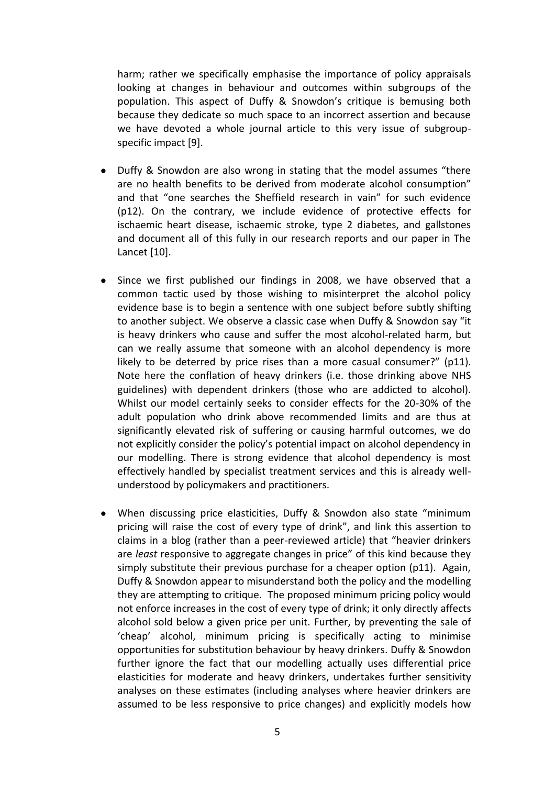harm; rather we specifically emphasise the importance of policy appraisals looking at changes in behaviour and outcomes within subgroups of the population. This aspect of Duffy & Snowdon's critique is bemusing both because they dedicate so much space to an incorrect assertion and because we have devoted a whole journal article to this very issue of subgroupspecific impact [9].

- Duffy & Snowdon are also wrong in stating that the model assumes "there are no health benefits to be derived from moderate alcohol consumption" and that "one searches the Sheffield research in vain" for such evidence (p12). On the contrary, we include evidence of protective effects for ischaemic heart disease, ischaemic stroke, type 2 diabetes, and gallstones and document all of this fully in our research reports and our paper in The Lancet [10].
- Since we first published our findings in 2008, we have observed that a common tactic used by those wishing to misinterpret the alcohol policy evidence base is to begin a sentence with one subject before subtly shifting to another subject. We observe a classic case when Duffy & Snowdon say "it is heavy drinkers who cause and suffer the most alcohol-related harm, but can we really assume that someone with an alcohol dependency is more likely to be deterred by price rises than a more casual consumer?" (p11). Note here the conflation of heavy drinkers (i.e. those drinking above NHS guidelines) with dependent drinkers (those who are addicted to alcohol). Whilst our model certainly seeks to consider effects for the 20-30% of the adult population who drink above recommended limits and are thus at significantly elevated risk of suffering or causing harmful outcomes, we do not explicitly consider the policy's potential impact on alcohol dependency in our modelling. There is strong evidence that alcohol dependency is most effectively handled by specialist treatment services and this is already wellunderstood by policymakers and practitioners.
- When discussing price elasticities, Duffy & Snowdon also state "minimum pricing will raise the cost of every type of drink", and link this assertion to claims in a blog (rather than a peer-reviewed article) that "heavier drinkers are *least* responsive to aggregate changes in price" of this kind because they simply substitute their previous purchase for a cheaper option (p11). Again, Duffy & Snowdon appear to misunderstand both the policy and the modelling they are attempting to critique. The proposed minimum pricing policy would not enforce increases in the cost of every type of drink; it only directly affects alcohol sold below a given price per unit. Further, by preventing the sale of 'cheap' alcohol, minimum pricing is specifically acting to minimise opportunities for substitution behaviour by heavy drinkers. Duffy & Snowdon further ignore the fact that our modelling actually uses differential price elasticities for moderate and heavy drinkers, undertakes further sensitivity analyses on these estimates (including analyses where heavier drinkers are assumed to be less responsive to price changes) and explicitly models how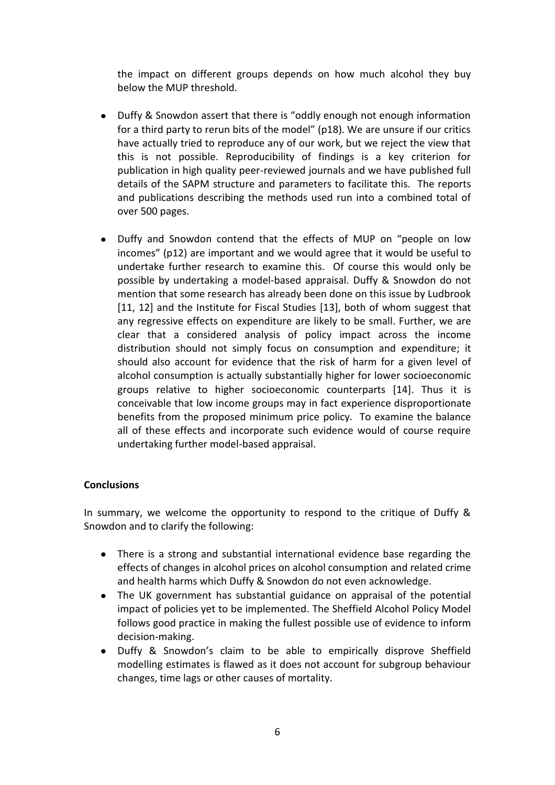the impact on different groups depends on how much alcohol they buy below the MUP threshold.

- $\bullet$ Duffy & Snowdon assert that there is "oddly enough not enough information for a third party to rerun bits of the model" (p18). We are unsure if our critics have actually tried to reproduce any of our work, but we reject the view that this is not possible. Reproducibility of findings is a key criterion for publication in high quality peer-reviewed journals and we have published full details of the SAPM structure and parameters to facilitate this. The reports and publications describing the methods used run into a combined total of over 500 pages.
- Duffy and Snowdon contend that the effects of MUP on "people on low  $\bullet$ incomes" (p12) are important and we would agree that it would be useful to undertake further research to examine this. Of course this would only be possible by undertaking a model-based appraisal. Duffy & Snowdon do not mention that some research has already been done on this issue by Ludbrook [11, 12] and the Institute for Fiscal Studies [13], both of whom suggest that any regressive effects on expenditure are likely to be small. Further, we are clear that a considered analysis of policy impact across the income distribution should not simply focus on consumption and expenditure; it should also account for evidence that the risk of harm for a given level of alcohol consumption is actually substantially higher for lower socioeconomic groups relative to higher socioeconomic counterparts [14]. Thus it is conceivable that low income groups may in fact experience disproportionate benefits from the proposed minimum price policy. To examine the balance all of these effects and incorporate such evidence would of course require undertaking further model-based appraisal.

## **Conclusions**

In summary, we welcome the opportunity to respond to the critique of Duffy & Snowdon and to clarify the following:

- There is a strong and substantial international evidence base regarding the effects of changes in alcohol prices on alcohol consumption and related crime and health harms which Duffy & Snowdon do not even acknowledge.
- $\bullet$ The UK government has substantial guidance on appraisal of the potential impact of policies yet to be implemented. The Sheffield Alcohol Policy Model follows good practice in making the fullest possible use of evidence to inform decision-making.
- $\bullet$ Duffy & Snowdon's claim to be able to empirically disprove Sheffield modelling estimates is flawed as it does not account for subgroup behaviour changes, time lags or other causes of mortality.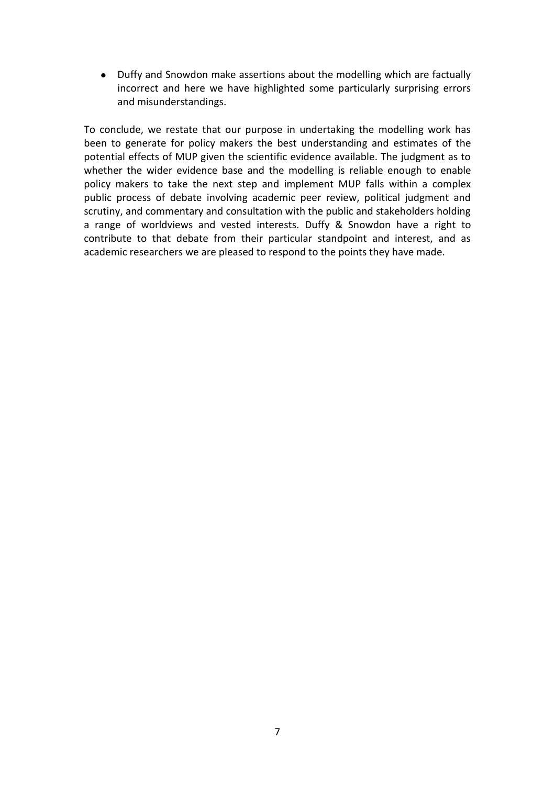Duffy and Snowdon make assertions about the modelling which are factually incorrect and here we have highlighted some particularly surprising errors and misunderstandings.

To conclude, we restate that our purpose in undertaking the modelling work has been to generate for policy makers the best understanding and estimates of the potential effects of MUP given the scientific evidence available. The judgment as to whether the wider evidence base and the modelling is reliable enough to enable policy makers to take the next step and implement MUP falls within a complex public process of debate involving academic peer review, political judgment and scrutiny, and commentary and consultation with the public and stakeholders holding a range of worldviews and vested interests. Duffy & Snowdon have a right to contribute to that debate from their particular standpoint and interest, and as academic researchers we are pleased to respond to the points they have made.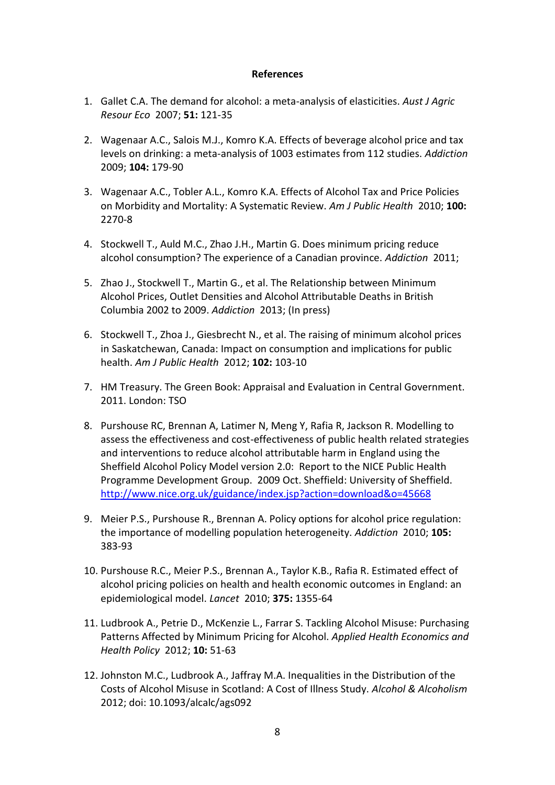### **References**

- 1. Gallet C.A. The demand for alcohol: a meta-analysis of elasticities. *Aust J Agric Resour Eco* 2007; **51:** 121-35
- 2. Wagenaar A.C., Salois M.J., Komro K.A. Effects of beverage alcohol price and tax levels on drinking: a meta-analysis of 1003 estimates from 112 studies. *Addiction*  2009; **104:** 179-90
- 3. Wagenaar A.C., Tobler A.L., Komro K.A. Effects of Alcohol Tax and Price Policies on Morbidity and Mortality: A Systematic Review. *Am J Public Health* 2010; **100:**  2270-8
- 4. Stockwell T., Auld M.C., Zhao J.H., Martin G. Does minimum pricing reduce alcohol consumption? The experience of a Canadian province. *Addiction* 2011;
- 5. Zhao J., Stockwell T., Martin G., et al. The Relationship between Minimum Alcohol Prices, Outlet Densities and Alcohol Attributable Deaths in British Columbia 2002 to 2009. *Addiction* 2013; (In press)
- 6. Stockwell T., Zhoa J., Giesbrecht N., et al. The raising of minimum alcohol prices in Saskatchewan, Canada: Impact on consumption and implications for public health. *Am J Public Health* 2012; **102:** 103-10
- 7. HM Treasury. The Green Book: Appraisal and Evaluation in Central Government. 2011. London: TSO
- 8. Purshouse RC, Brennan A, Latimer N, Meng Y, Rafia R, Jackson R. Modelling to assess the effectiveness and cost-effectiveness of public health related strategies and interventions to reduce alcohol attributable harm in England using the Sheffield Alcohol Policy Model version 2.0: Report to the NICE Public Health Programme Development Group. 2009 Oct. Sheffield: University of Sheffield. <http://www.nice.org.uk/guidance/index.jsp?action=download&o=45668>
- 9. Meier P.S., Purshouse R., Brennan A. Policy options for alcohol price regulation: the importance of modelling population heterogeneity. *Addiction* 2010; **105:**  383-93
- 10. Purshouse R.C., Meier P.S., Brennan A., Taylor K.B., Rafia R. Estimated effect of alcohol pricing policies on health and health economic outcomes in England: an epidemiological model. *Lancet* 2010; **375:** 1355-64
- 11. Ludbrook A., Petrie D., McKenzie L., Farrar S. Tackling Alcohol Misuse: Purchasing Patterns Affected by Minimum Pricing for Alcohol. *Applied Health Economics and Health Policy* 2012; **10:** 51-63
- 12. Johnston M.C., Ludbrook A., Jaffray M.A. Inequalities in the Distribution of the Costs of Alcohol Misuse in Scotland: A Cost of Illness Study. *Alcohol & Alcoholism*  2012; doi: 10.1093/alcalc/ags092